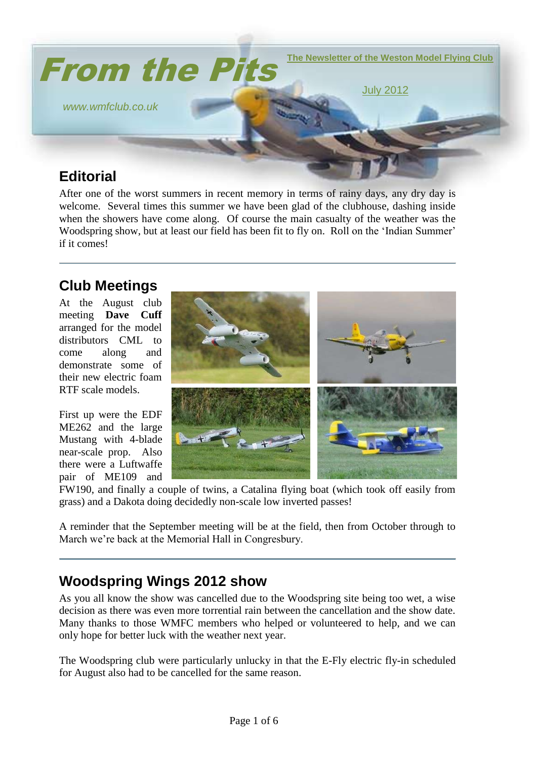

# **Editorial**

After one of the worst summers in recent memory in terms of rainy days, any dry day is welcome. Several times this summer we have been glad of the clubhouse, dashing inside when the showers have come along. Of course the main casualty of the weather was the Woodspring show, but at least our field has been fit to fly on. Roll on the 'Indian Summer' if it comes!

## **Club Meetings**

At the August club meeting **Dave Cuff** arranged for the model distributors CML to come along and demonstrate some of their new electric foam RTF scale models.

First up were the EDF ME262 and the large Mustang with 4-blade near-scale prop. Also there were a Luftwaffe pair of ME109 and



FW190, and finally a couple of twins, a Catalina flying boat (which took off easily from grass) and a Dakota doing decidedly non-scale low inverted passes!

A reminder that the September meeting will be at the field, then from October through to March we're back at the Memorial Hall in Congresbury.

# **Woodspring Wings 2012 show**

As you all know the show was cancelled due to the Woodspring site being too wet, a wise decision as there was even more torrential rain between the cancellation and the show date. Many thanks to those WMFC members who helped or volunteered to help, and we can only hope for better luck with the weather next year.

The Woodspring club were particularly unlucky in that the E-Fly electric fly-in scheduled for August also had to be cancelled for the same reason.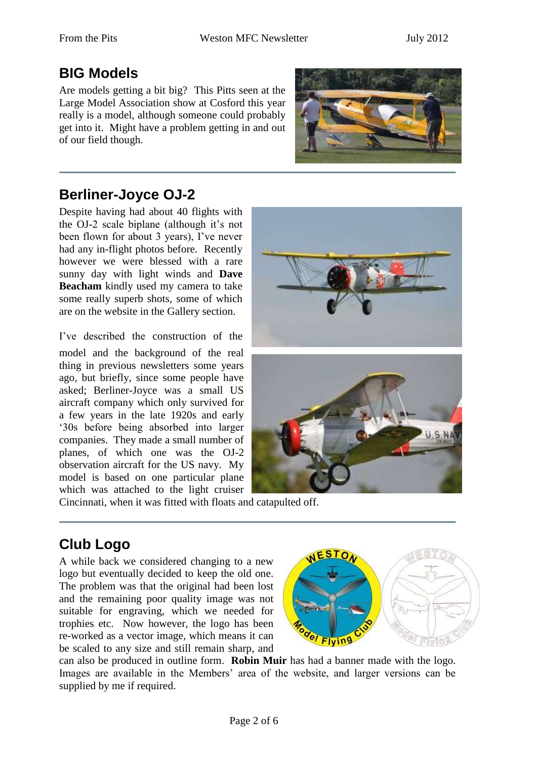#### **BIG Models**

Are models getting a bit big? This Pitts seen at the Large Model Association show at Cosford this year really is a model, although someone could probably get into it. Might have a problem getting in and out of our field though.



# **Berliner-Joyce OJ-2**

Despite having had about 40 flights with the OJ-2 scale biplane (although it's not been flown for about 3 years), I've never had any in-flight photos before. Recently however we were blessed with a rare sunny day with light winds and **Dave Beacham** kindly used my camera to take some really superb shots, some of which are on the website in the Gallery section.

I've described the construction of the model and the background of the real thing in previous newsletters some years ago, but briefly, since some people have asked; Berliner-Joyce was a small US aircraft company which only survived for a few years in the late 1920s and early '30s before being absorbed into larger companies. They made a small number of planes, of which one was the OJ-2 observation aircraft for the US navy. My model is based on one particular plane which was attached to the light cruiser





Cincinnati, when it was fitted with floats and catapulted off.

# **Club Logo**

A while back we considered changing to a new logo but eventually decided to keep the old one. The problem was that the original had been lost and the remaining poor quality image was not suitable for engraving, which we needed for trophies etc. Now however, the logo has been re-worked as a vector image, which means it can be scaled to any size and still remain sharp, and



can also be produced in outline form. **Robin Muir** has had a banner made with the logo. Images are available in the Members' area of the website, and larger versions can be supplied by me if required.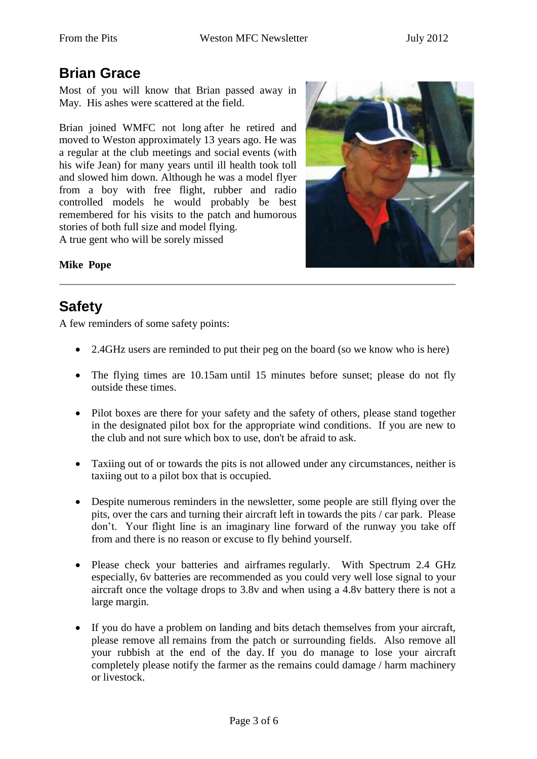### **Brian Grace**

Most of you will know that Brian passed away in May. His ashes were scattered at the field.

Brian joined WMFC not long after he retired and moved to Weston approximately 13 years ago. He was a regular at the club meetings and social events (with his wife Jean) for many years until ill health took toll and slowed him down. Although he was a model flyer from a boy with free flight, rubber and radio controlled models he would probably be best remembered for his visits to the patch and humorous stories of both full size and model flying.

A true gent who will be sorely missed



#### **Mike Pope**

#### **Safety**

A few reminders of some safety points:

- 2.4GHz users are reminded to put their peg on the board (so we know who is here)
- The flying times are 10.15am until 15 minutes before sunset; please do not fly outside these times.
- Pilot boxes are there for your safety and the safety of others, please stand together in the designated pilot box for the appropriate wind conditions. If you are new to the club and not sure which box to use, don't be afraid to ask.
- Taxiing out of or towards the pits is not allowed under any circumstances, neither is taxiing out to a pilot box that is occupied.
- Despite numerous reminders in the newsletter, some people are still flying over the pits, over the cars and turning their aircraft left in towards the pits / car park. Please don't. Your flight line is an imaginary line forward of the runway you take off from and there is no reason or excuse to fly behind yourself.
- Please check your batteries and airframes regularly. With Spectrum 2.4 GHz especially, 6v batteries are recommended as you could very well lose signal to your aircraft once the voltage drops to 3.8v and when using a 4.8v battery there is not a large margin.
- If you do have a problem on landing and bits detach themselves from your aircraft, please remove all remains from the patch or surrounding fields. Also remove all your rubbish at the end of the day. If you do manage to lose your aircraft completely please notify the farmer as the remains could damage / harm machinery or livestock.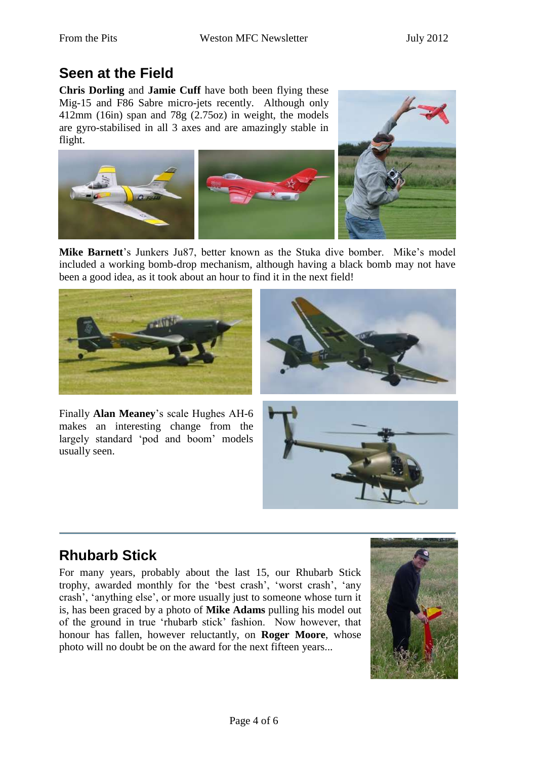## **Seen at the Field**

**Chris Dorling** and **Jamie Cuff** have both been flying these Mig-15 and F86 Sabre micro-jets recently. Although only 412mm (16in) span and 78g (2.75oz) in weight, the models are gyro-stabilised in all 3 axes and are amazingly stable in flight.



**Mike Barnett**'s Junkers Ju87, better known as the Stuka dive bomber. Mike's model included a working bomb-drop mechanism, although having a black bomb may not have been a good idea, as it took about an hour to find it in the next field!





Finally **Alan Meaney**'s scale Hughes AH-6 makes an interesting change from the largely standard 'pod and boom' models usually seen.



# **Rhubarb Stick**

For many years, probably about the last 15, our Rhubarb Stick trophy, awarded monthly for the 'best crash', 'worst crash', 'any crash', 'anything else', or more usually just to someone whose turn it is, has been graced by a photo of **Mike Adams** pulling his model out of the ground in true 'rhubarb stick' fashion. Now however, that honour has fallen, however reluctantly, on **Roger Moore**, whose photo will no doubt be on the award for the next fifteen years...

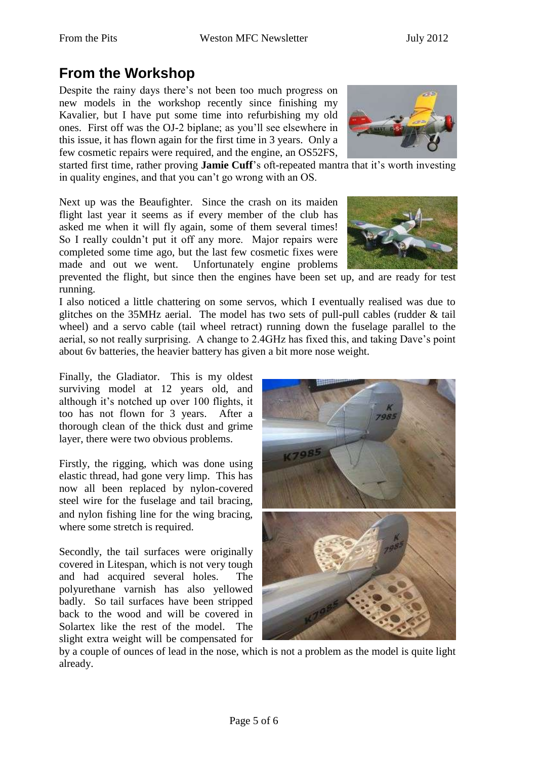# **From the Workshop**

Despite the rainy days there's not been too much progress on new models in the workshop recently since finishing my Kavalier, but I have put some time into refurbishing my old ones. First off was the OJ-2 biplane; as you'll see elsewhere in this issue, it has flown again for the first time in 3 years. Only a few cosmetic repairs were required, and the engine, an OS52FS,



started first time, rather proving **Jamie Cuff**'s oft-repeated mantra that it's worth investing in quality engines, and that you can't go wrong with an OS.

Next up was the Beaufighter. Since the crash on its maiden flight last year it seems as if every member of the club has asked me when it will fly again, some of them several times! So I really couldn't put it off any more. Major repairs were completed some time ago, but the last few cosmetic fixes were made and out we went. Unfortunately engine problems



prevented the flight, but since then the engines have been set up, and are ready for test running.

I also noticed a little chattering on some servos, which I eventually realised was due to glitches on the 35MHz aerial. The model has two sets of pull-pull cables (rudder & tail wheel) and a servo cable (tail wheel retract) running down the fuselage parallel to the aerial, so not really surprising. A change to 2.4GHz has fixed this, and taking Dave's point about 6v batteries, the heavier battery has given a bit more nose weight.

Finally, the Gladiator. This is my oldest surviving model at 12 years old, and although it's notched up over 100 flights, it too has not flown for 3 years. After a thorough clean of the thick dust and grime layer, there were two obvious problems.

Firstly, the rigging, which was done using elastic thread, had gone very limp. This has now all been replaced by nylon-covered steel wire for the fuselage and tail bracing, and nylon fishing line for the wing bracing, where some stretch is required.

Secondly, the tail surfaces were originally covered in Litespan, which is not very tough and had acquired several holes. The polyurethane varnish has also yellowed badly. So tail surfaces have been stripped back to the wood and will be covered in Solartex like the rest of the model. The slight extra weight will be compensated for



by a couple of ounces of lead in the nose, which is not a problem as the model is quite light already.